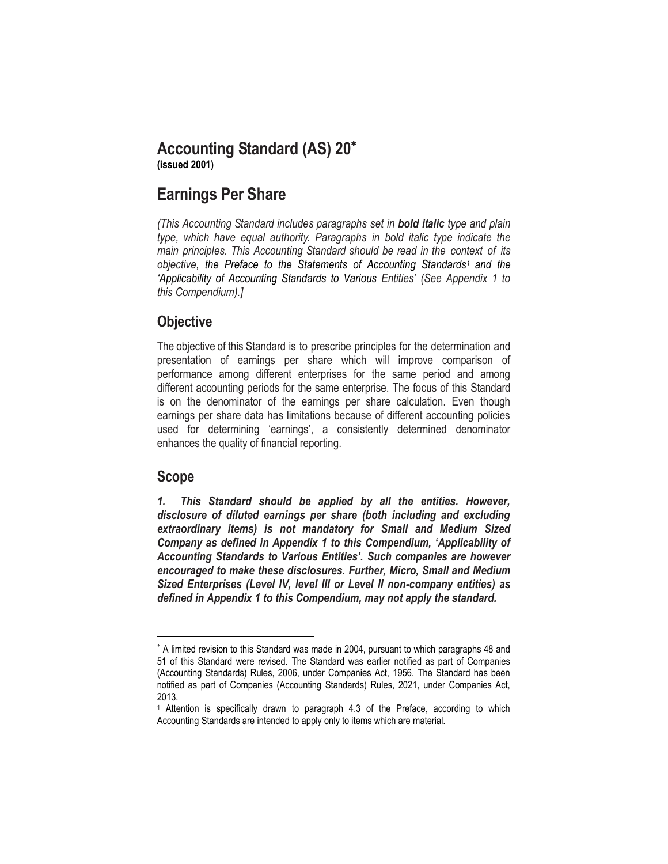# **Accounting Standard (AS) 20**

**(issued 2001)**

# **Earnings Per Share**

*(This Accounting Standard includes paragraphs set in bold italic type and plain type, which have equal authority. Paragraphs in bold italic type indicate the main principles. This Accounting Standard should be read in the context of its objective, the Preface to the Statements of Accounting Standards<sup>1</sup> and the 'Applicability of Accounting Standards to Various Entities' (See Appendix 1 to this Compendium).]*

# **Objective**

The objective of this Standard is to prescribe principles for the determination and presentation of earnings per share which will improve comparison of performance among different enterprises for the same period and among different accounting periods for the same enterprise. The focus of this Standard is on the denominator of the earnings per share calculation. Even though earnings per share data has limitations because of different accounting policies used for determining 'earnings', a consistently determined denominator enhances the quality of financial reporting.

## **Scope**

 $\overline{\phantom{a}}$ 

*1. This Standard should be applied by all the entities. However, disclosure of diluted earnings per share (both including and excluding extraordinary items) is not mandatory for Small and Medium Sized Company as defined in Appendix 1 to this Compendium, 'Applicability of Accounting Standards to Various Entities'. Such companies are however encouraged to make these disclosures. Further, Micro, Small and Medium Sized Enterprises (Level IV, level III or Level II non-company entities) as defined in Appendix 1 to this Compendium, may not apply the standard.*

A limited revision to this Standard was made in 2004, pursuant to which paragraphs 48 and 51 of this Standard were revised. The Standard was earlier notified as part of Companies (Accounting Standards) Rules, 2006, under Companies Act, 1956. The Standard has been notified as part of Companies (Accounting Standards) Rules, 2021, under Companies Act, 2013.

<sup>1</sup> Attention is specifically drawn to paragraph 4.3 of the Preface, according to which Accounting Standards are intended to apply only to items which are material.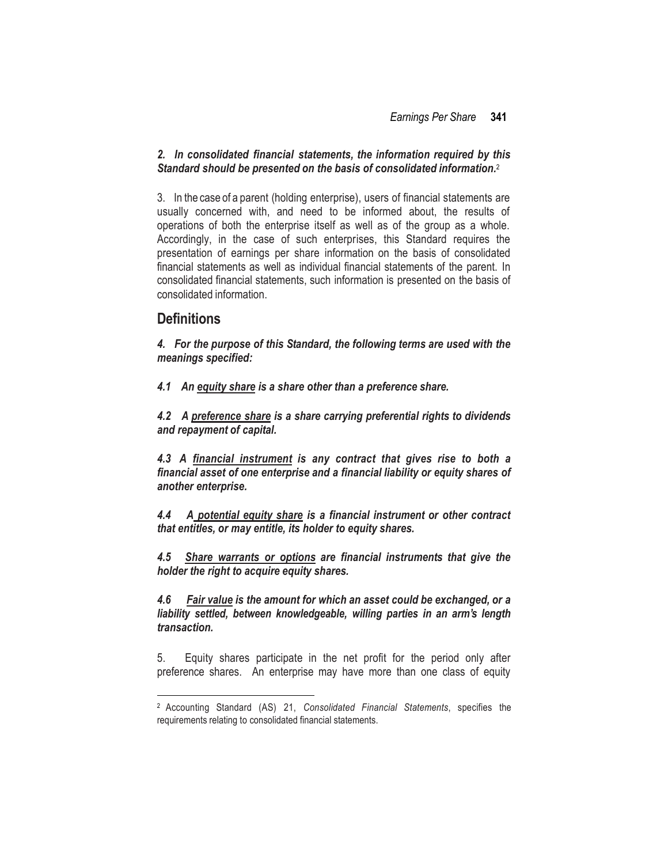#### *2. In consolidated financial statements, the information required by this Standard should be presented on the basis of consolidated information.* 2

3. In the case of a parent (holding enterprise), users of financial statements are usually concerned with, and need to be informed about, the results of operations of both the enterprise itself as well as of the group as a whole. Accordingly, in the case of such enterprises, this Standard requires the presentation of earnings per share information on the basis of consolidated financial statements as well as individual financial statements of the parent. In consolidated financial statements, such information is presented on the basis of consolidated information.

## **Definitions**

 $\overline{a}$ 

*4. For the purpose of this Standard, the following terms are used with the meanings specified:*

*4.1 An equity share is a share other than a preference share.*

*4.2 A preference share is a share carrying preferential rights to dividends and repayment of capital.*

*4.3 A financial instrument is any contract that gives rise to both a financial asset of one enterprise and a financial liability or equity shares of another enterprise.*

*4.4 A potential equity share is a financial instrument or other contract that entitles, or may entitle, its holder to equity shares.*

*4.5 Share warrants or options are financial instruments that give the holder the right to acquire equity shares.*

*4.6 Fair value is the amount for which an asset could be exchanged, or a liability settled, between knowledgeable, willing parties in an arm's length transaction.*

5. Equity shares participate in the net profit for the period only after preference shares. An enterprise may have more than one class of equity

<sup>2</sup> Accounting Standard (AS) 21, *Consolidated Financial Statements*, specifies the requirements relating to consolidated financial statements.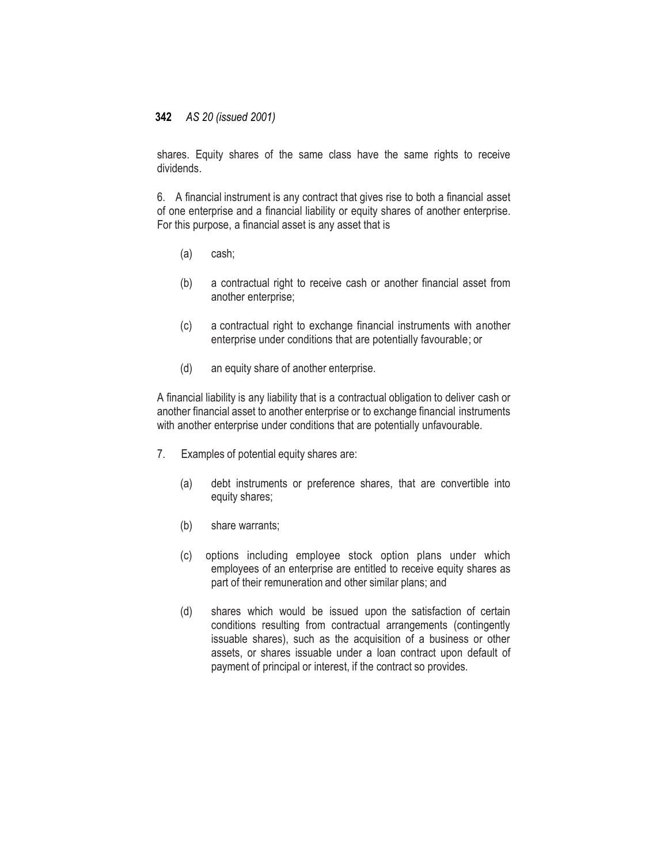shares. Equity shares of the same class have the same rights to receive dividends.

6. A financial instrument is any contract that gives rise to both a financial asset of one enterprise and a financial liability or equity shares of another enterprise. For this purpose, a financial asset is any asset that is

- (a) cash;
- (b) a contractual right to receive cash or another financial asset from another enterprise;
- (c) a contractual right to exchange financial instruments with another enterprise under conditions that are potentially favourable; or
- (d) an equity share of another enterprise.

A financial liability is any liability that is a contractual obligation to deliver cash or another financial asset to another enterprise or to exchange financial instruments with another enterprise under conditions that are potentially unfavourable.

- 7. Examples of potential equity shares are:
	- (a) debt instruments or preference shares, that are convertible into equity shares;
	- (b) share warrants;
	- (c) options including employee stock option plans under which employees of an enterprise are entitled to receive equity shares as part of their remuneration and other similar plans; and
	- (d) shares which would be issued upon the satisfaction of certain conditions resulting from contractual arrangements (contingently issuable shares), such as the acquisition of a business or other assets, or shares issuable under a loan contract upon default of payment of principal or interest, if the contract so provides.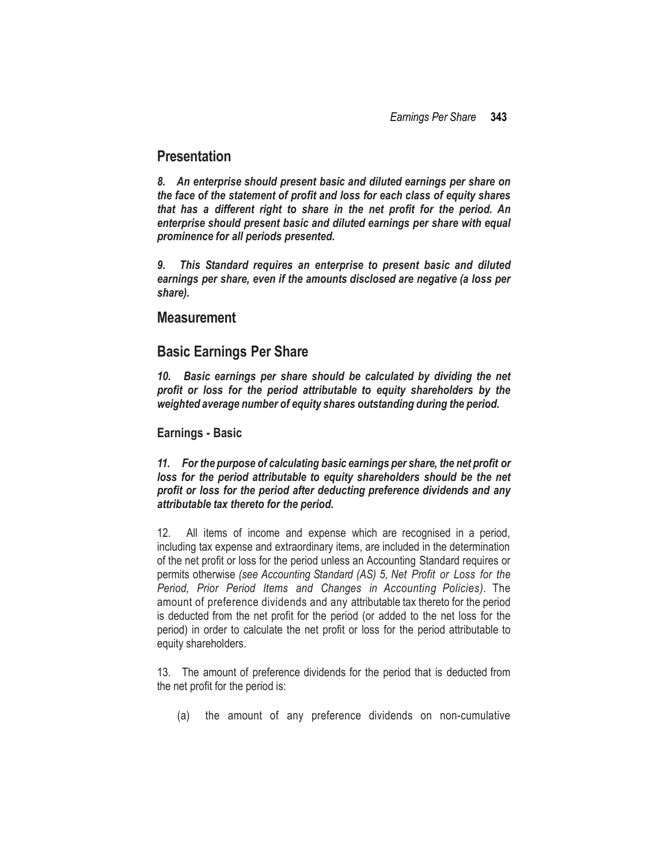## **Presentation**

*8. An enterprise should present basic and diluted earnings per share on the face of the statement of profit and loss for each class of equity shares that has a different right to share in the net profit for the period. An enterprise should present basic and diluted earnings per share with equal prominence for all periods presented.*

*9. This Standard requires an enterprise to present basic and diluted earnings per share, even if the amounts disclosed are negative (a loss per share).*

### **Measurement**

## **Basic Earnings Per Share**

*10. Basic earnings per share should be calculated by dividing the net profit or loss for the period attributable to equity shareholders by the weighted average number of equity shares outstanding during the period.*

#### **Earnings - Basic**

*11. For the purpose of calculating basic earnings per share, the net profit or loss for the period attributable to equity shareholders should be the net profit or loss for the period after deducting preference dividends and any attributable tax thereto for the period.*

12. All items of income and expense which are recognised in a period, including tax expense and extraordinary items, are included in the determination of the net profit or loss for the period unless an Accounting Standard requires or permits otherwise *(see Accounting Standard (AS) 5, Net Profit or Loss for the Period, Prior Period Items and Changes in Accounting Policies).* The amount of preference dividends and any attributable tax thereto for the period is deducted from the net profit for the period (or added to the net loss for the period) in order to calculate the net profit or loss for the period attributable to equity shareholders.

13. The amount of preference dividends for the period that is deducted from the net profit for the period is:

(a) the amount of any preference dividends on non-cumulative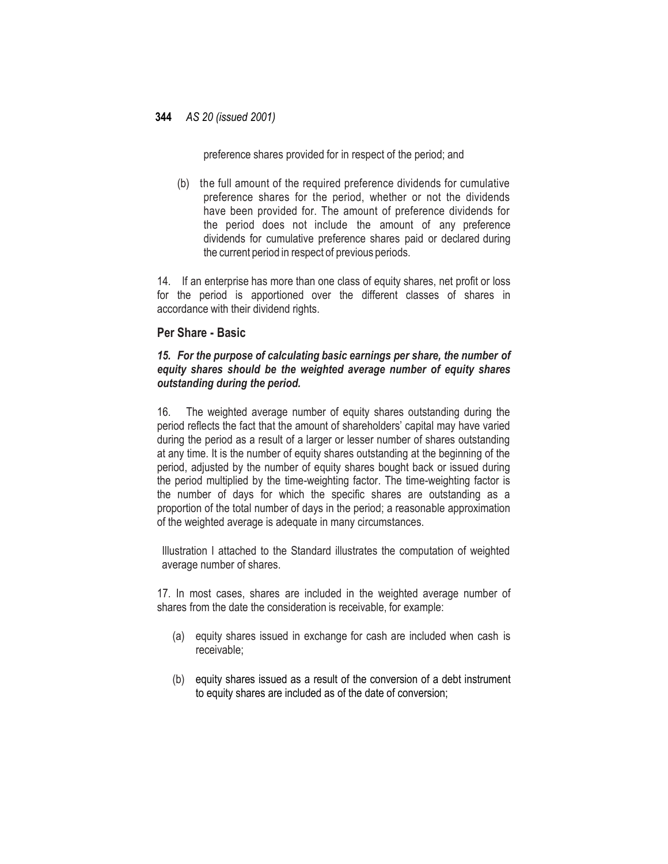preference shares provided for in respect of the period; and

(b) the full amount of the required preference dividends for cumulative preference shares for the period, whether or not the dividends have been provided for. The amount of preference dividends for the period does not include the amount of any preference dividends for cumulative preference shares paid or declared during the current period in respect of previous periods.

14. If an enterprise has more than one class of equity shares, net profit or loss for the period is apportioned over the different classes of shares in accordance with their dividend rights.

#### **Per Share - Basic**

#### *15. For the purpose of calculating basic earnings per share, the number of equity shares should be the weighted average number of equity shares outstanding during the period.*

16. The weighted average number of equity shares outstanding during the period reflects the fact that the amount of shareholders' capital may have varied during the period as a result of a larger or lesser number of shares outstanding at any time. It is the number of equity shares outstanding at the beginning of the period, adjusted by the number of equity shares bought back or issued during the period multiplied by the time-weighting factor. The time-weighting factor is the number of days for which the specific shares are outstanding as a proportion of the total number of days in the period; a reasonable approximation of the weighted average is adequate in many circumstances.

Illustration I attached to the Standard illustrates the computation of weighted average number of shares.

17. In most cases, shares are included in the weighted average number of shares from the date the consideration is receivable, for example:

- (a) equity shares issued in exchange for cash are included when cash is receivable;
- (b) equity shares issued as a result of the conversion of a debt instrument to equity shares are included as of the date of conversion;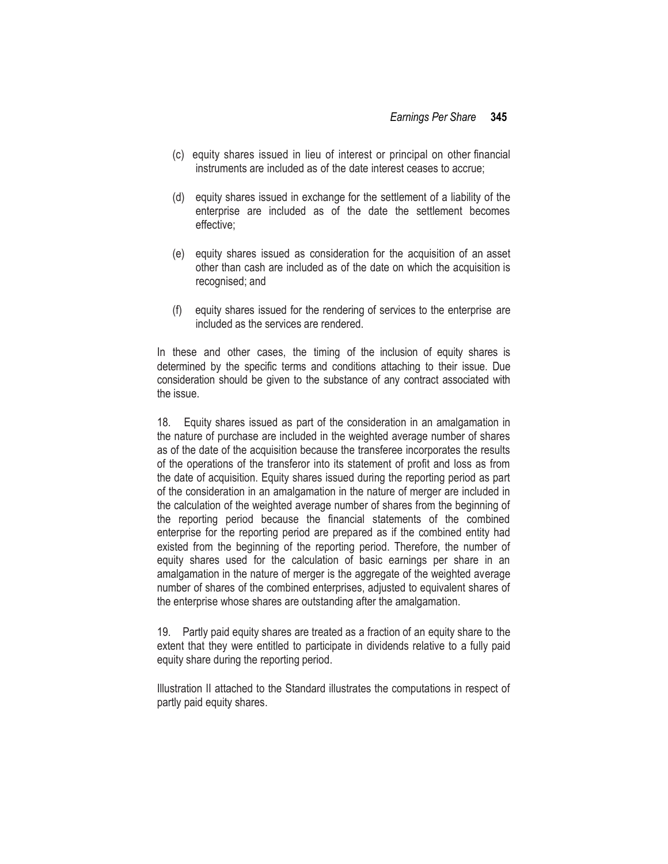- (c) equity shares issued in lieu of interest or principal on other financial instruments are included as of the date interest ceases to accrue;
- (d) equity shares issued in exchange for the settlement of a liability of the enterprise are included as of the date the settlement becomes effective;
- (e) equity shares issued as consideration for the acquisition of an asset other than cash are included as of the date on which the acquisition is recognised; and
- (f) equity shares issued for the rendering of services to the enterprise are included as the services are rendered.

In these and other cases, the timing of the inclusion of equity shares is determined by the specific terms and conditions attaching to their issue. Due consideration should be given to the substance of any contract associated with the issue.

18. Equity shares issued as part of the consideration in an amalgamation in the nature of purchase are included in the weighted average number of shares as of the date of the acquisition because the transferee incorporates the results of the operations of the transferor into its statement of profit and loss as from the date of acquisition. Equity shares issued during the reporting period as part of the consideration in an amalgamation in the nature of merger are included in the calculation of the weighted average number of shares from the beginning of the reporting period because the financial statements of the combined enterprise for the reporting period are prepared as if the combined entity had existed from the beginning of the reporting period. Therefore, the number of equity shares used for the calculation of basic earnings per share in an amalgamation in the nature of merger is the aggregate of the weighted average number of shares of the combined enterprises, adjusted to equivalent shares of the enterprise whose shares are outstanding after the amalgamation.

19. Partly paid equity shares are treated as a fraction of an equity share to the extent that they were entitled to participate in dividends relative to a fully paid equity share during the reporting period.

Illustration II attached to the Standard illustrates the computations in respect of partly paid equity shares.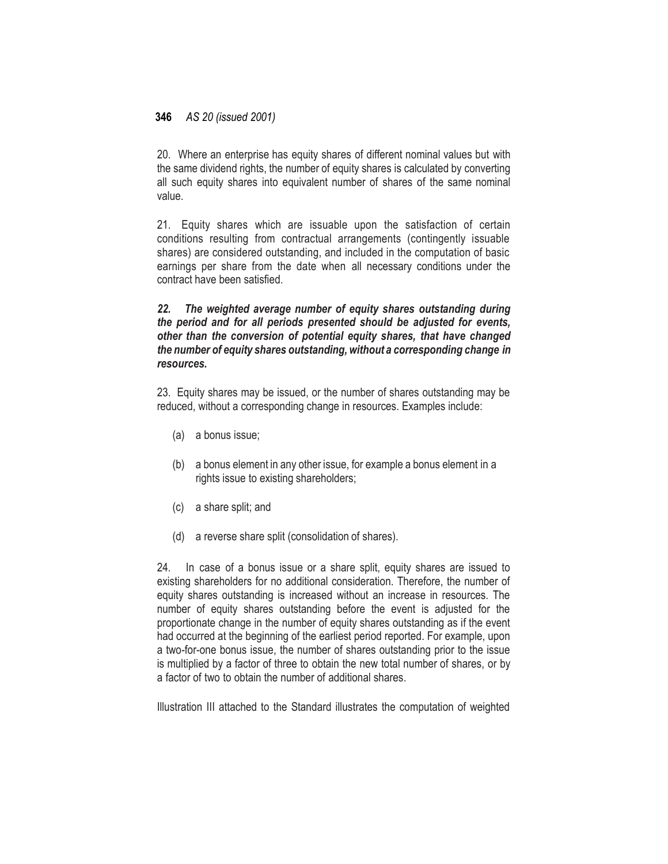20. Where an enterprise has equity shares of different nominal values but with the same dividend rights, the number of equity shares is calculated by converting all such equity shares into equivalent number of shares of the same nominal value.

21. Equity shares which are issuable upon the satisfaction of certain conditions resulting from contractual arrangements (contingently issuable shares) are considered outstanding, and included in the computation of basic earnings per share from the date when all necessary conditions under the contract have been satisfied.

*22. The weighted average number of equity shares outstanding during the period and for all periods presented should be adjusted for events, other than the conversion of potential equity shares, that have changed the number of equity shares outstanding,without a corresponding change in resources.*

23. Equity shares may be issued, or the number of shares outstanding may be reduced, without a corresponding change in resources. Examples include:

- (a) a bonus issue;
- (b) a bonus element in any other issue, for example a bonus element in a rights issue to existing shareholders;
- (c) a share split; and
- (d) a reverse share split (consolidation of shares).

24. In case of a bonus issue or a share split, equity shares are issued to existing shareholders for no additional consideration. Therefore, the number of equity shares outstanding is increased without an increase in resources. The number of equity shares outstanding before the event is adjusted for the proportionate change in the number of equity shares outstanding as if the event had occurred at the beginning of the earliest period reported. For example, upon a two-for-one bonus issue, the number of shares outstanding prior to the issue is multiplied by a factor of three to obtain the new total number of shares, or by a factor of two to obtain the number of additional shares.

Illustration III attached to the Standard illustrates the computation of weighted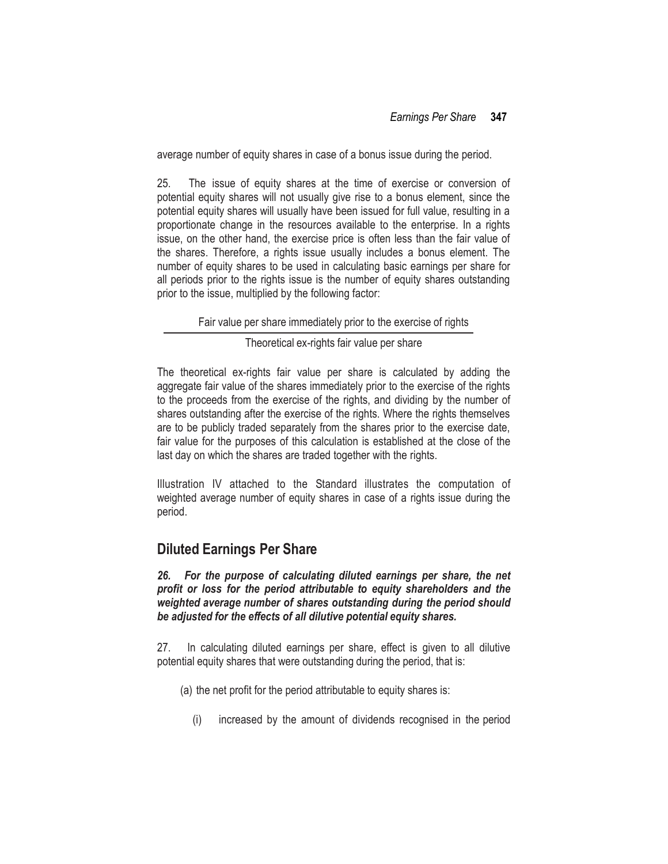average number of equity shares in case of a bonus issue during the period.

25. The issue of equity shares at the time of exercise or conversion of potential equity shares will not usually give rise to a bonus element, since the potential equity shares will usually have been issued for full value, resulting in a proportionate change in the resources available to the enterprise. In a rights issue, on the other hand, the exercise price is often less than the fair value of the shares. Therefore, a rights issue usually includes a bonus element. The number of equity shares to be used in calculating basic earnings per share for all periods prior to the rights issue is the number of equity shares outstanding prior to the issue, multiplied by the following factor:

Fair value per share immediately prior to the exercise of rights

Theoretical ex-rights fair value per share

The theoretical ex-rights fair value per share is calculated by adding the aggregate fair value of the shares immediately prior to the exercise of the rights to the proceeds from the exercise of the rights, and dividing by the number of shares outstanding after the exercise of the rights. Where the rights themselves are to be publicly traded separately from the shares prior to the exercise date, fair value for the purposes of this calculation is established at the close of the last day on which the shares are traded together with the rights.

Illustration IV attached to the Standard illustrates the computation of weighted average number of equity shares in case of a rights issue during the period.

# **Diluted Earnings Per Share**

*26. For the purpose of calculating diluted earnings per share, the net profit or loss for the period attributable to equity shareholders and the weighted average number of shares outstanding during the period should be adjusted for the effects of all dilutive potential equity shares.*

27. In calculating diluted earnings per share, effect is given to all dilutive potential equity shares that were outstanding during the period, that is:

- (a) the net profit for the period attributable to equity shares is:
	- (i) increased by the amount of dividends recognised in the period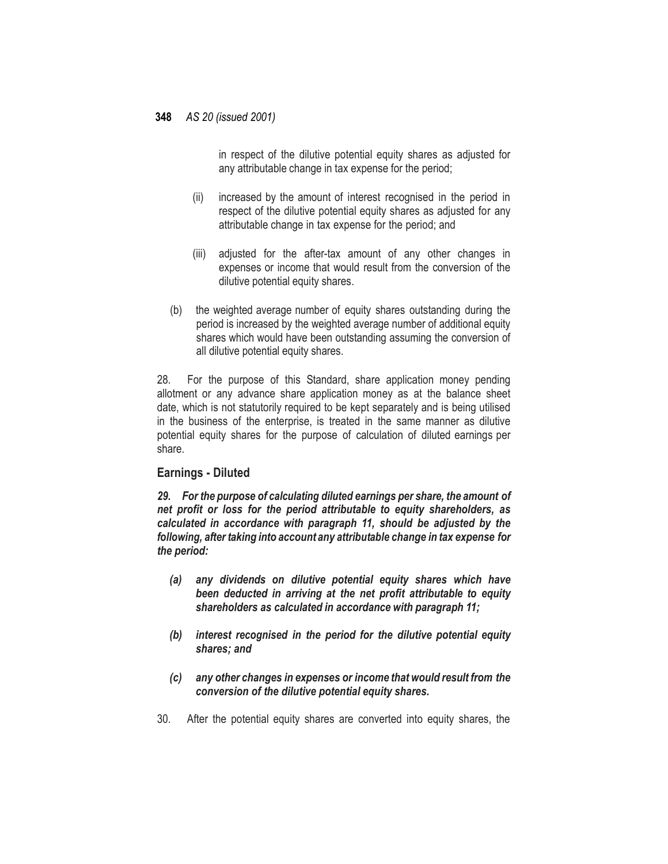in respect of the dilutive potential equity shares as adjusted for any attributable change in tax expense for the period;

- (ii) increased by the amount of interest recognised in the period in respect of the dilutive potential equity shares as adjusted for any attributable change in tax expense for the period; and
- (iii) adjusted for the after-tax amount of any other changes in expenses or income that would result from the conversion of the dilutive potential equity shares.
- (b) the weighted average number of equity shares outstanding during the period is increased by the weighted average number of additional equity shares which would have been outstanding assuming the conversion of all dilutive potential equity shares.

28. For the purpose of this Standard, share application money pending allotment or any advance share application money as at the balance sheet date, which is not statutorily required to be kept separately and is being utilised in the business of the enterprise, is treated in the same manner as dilutive potential equity shares for the purpose of calculation of diluted earnings per share.

#### **Earnings - Diluted**

*29. For the purpose of calculating diluted earnings per share, the amount of net profit or loss for the period attributable to equity shareholders, as calculated in accordance with paragraph 11, should be adjusted by the following, after taking into account any attributable change in tax expense for the period:*

- *(a) any dividends on dilutive potential equity shares which have been deducted in arriving at the net profit attributable to equity shareholders as calculated in accordance with paragraph 11;*
- *(b) interest recognised in the period for the dilutive potential equity shares; and*
- *(c) any other changes in expenses or income that would result from the conversion of the dilutive potential equity shares.*
- 30. After the potential equity shares are converted into equity shares, the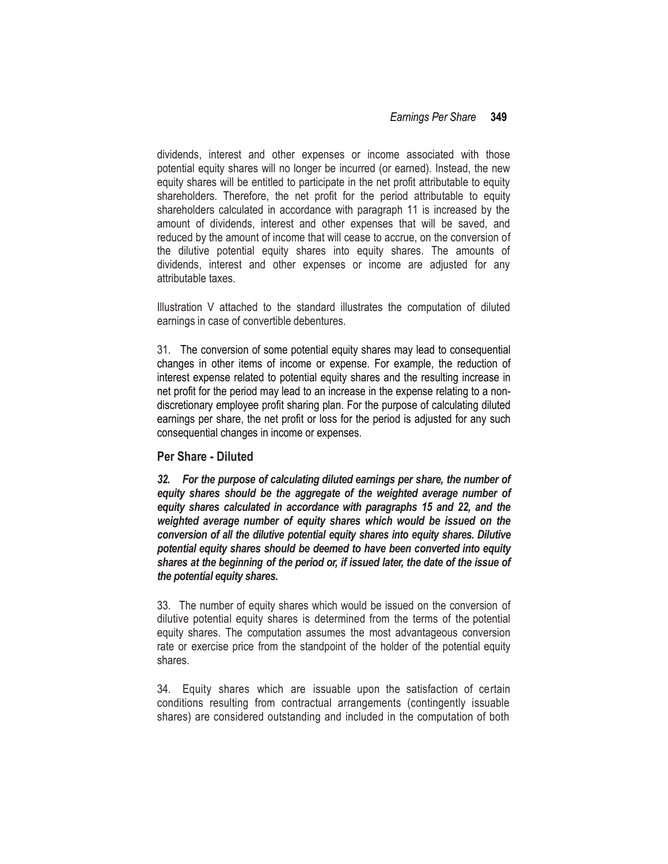dividends, interest and other expenses or income associated with those potential equity shares will no longer be incurred (or earned). Instead, the new equity shares will be entitled to participate in the net profit attributable to equity shareholders. Therefore, the net profit for the period attributable to equity shareholders calculated in accordance with paragraph 11 is increased by the amount of dividends, interest and other expenses that will be saved, and reduced by the amount of income that will cease to accrue, on the conversion of the dilutive potential equity shares into equity shares. The amounts of dividends, interest and other expenses or income are adjusted for any attributable taxes.

Illustration V attached to the standard illustrates the computation of diluted earnings in case of convertible debentures.

31. The conversion of some potential equity shares may lead to consequential changes in other items of income or expense. For example, the reduction of interest expense related to potential equity shares and the resulting increase in net profit for the period may lead to an increase in the expense relating to a nondiscretionary employee profit sharing plan. For the purpose of calculating diluted earnings per share, the net profit or loss for the period is adjusted for any such consequential changes in income or expenses.

#### **Per Share - Diluted**

*32. For the purpose of calculating diluted earnings per share, the number of equity shares should be the aggregate of the weighted average number of equity shares calculated in accordance with paragraphs 15 and 22, and the weighted average number of equity shares which would be issued on the conversion of all the dilutive potential equity shares into equity shares. Dilutive potential equity shares should be deemed to have been converted into equity shares at the beginning of the period or, if issued later, the date of the issue of the potential equity shares.*

33. The number of equity shares which would be issued on the conversion of dilutive potential equity shares is determined from the terms of the potential equity shares. The computation assumes the most advantageous conversion rate or exercise price from the standpoint of the holder of the potential equity shares.

34. Equity shares which are issuable upon the satisfaction of certain conditions resulting from contractual arrangements (contingently issuable shares) are considered outstanding and included in the computation of both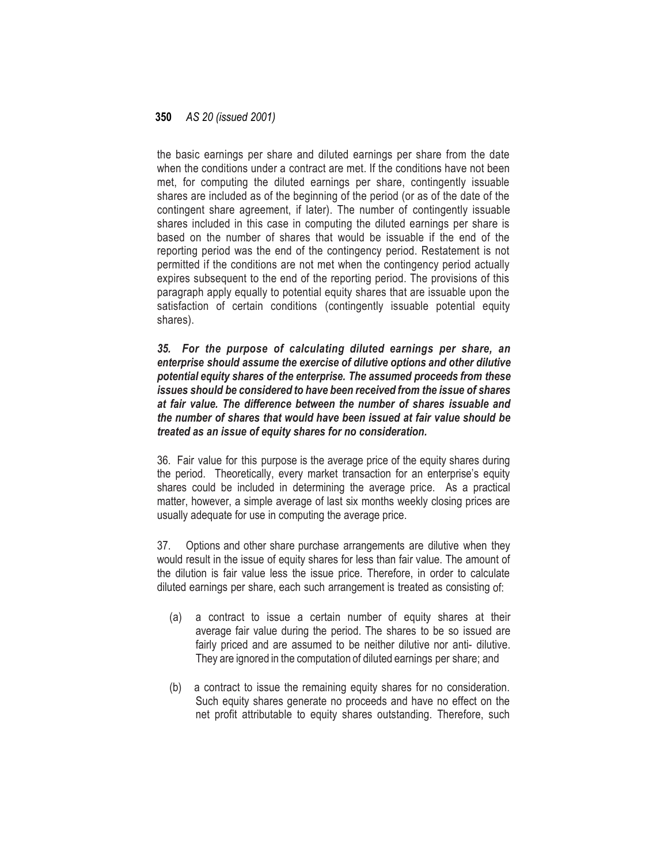the basic earnings per share and diluted earnings per share from the date when the conditions under a contract are met. If the conditions have not been met, for computing the diluted earnings per share, contingently issuable shares are included as of the beginning of the period (or as of the date of the contingent share agreement, if later). The number of contingently issuable shares included in this case in computing the diluted earnings per share is based on the number of shares that would be issuable if the end of the reporting period was the end of the contingency period. Restatement is not permitted if the conditions are not met when the contingency period actually expires subsequent to the end of the reporting period. The provisions of this paragraph apply equally to potential equity shares that are issuable upon the satisfaction of certain conditions (contingently issuable potential equity shares).

*35. For the purpose of calculating diluted earnings per share, an enterprise should assume the exercise of dilutive options and other dilutive potential equity shares of the enterprise. The assumed proceeds from these issues should be considered to have been received from the issue of shares at fair value. The difference between the number of shares issuable and the number of shares that would have been issued at fair value should be treated as an issue of equity shares for no consideration.*

36. Fair value for this purpose is the average price of the equity shares during the period. Theoretically, every market transaction for an enterprise's equity shares could be included in determining the average price. As a practical matter, however, a simple average of last six months weekly closing prices are usually adequate for use in computing the average price.

37. Options and other share purchase arrangements are dilutive when they would result in the issue of equity shares for less than fair value. The amount of the dilution is fair value less the issue price. Therefore, in order to calculate diluted earnings per share, each such arrangement is treated as consisting of:

- (a) a contract to issue a certain number of equity shares at their average fair value during the period. The shares to be so issued are fairly priced and are assumed to be neither dilutive nor anti- dilutive. They are ignored in the computation of diluted earnings per share; and
- (b) a contract to issue the remaining equity shares for no consideration. Such equity shares generate no proceeds and have no effect on the net profit attributable to equity shares outstanding. Therefore, such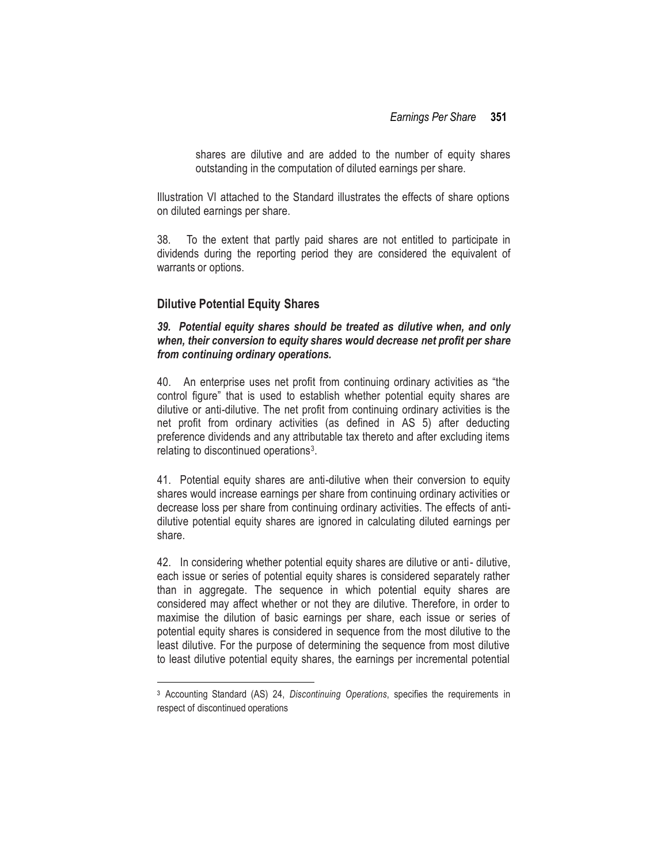shares are dilutive and are added to the number of equity shares outstanding in the computation of diluted earnings per share.

Illustration VI attached to the Standard illustrates the effects of share options on diluted earnings per share.

38. To the extent that partly paid shares are not entitled to participate in dividends during the reporting period they are considered the equivalent of warrants or options.

#### **Dilutive Potential Equity Shares**

 $\overline{\phantom{a}}$ 

*39. Potential equity shares should be treated as dilutive when, and only when, their conversion to equity shares would decrease net profit per share from continuing ordinary operations.*

40. An enterprise uses net profit from continuing ordinary activities as "the control figure" that is used to establish whether potential equity shares are dilutive or anti-dilutive. The net profit from continuing ordinary activities is the net profit from ordinary activities (as defined in AS 5) after deducting preference dividends and any attributable tax thereto and after excluding items relating to discontinued operations<sup>3</sup>.

41. Potential equity shares are anti-dilutive when their conversion to equity shares would increase earnings per share from continuing ordinary activities or decrease loss per share from continuing ordinary activities. The effects of antidilutive potential equity shares are ignored in calculating diluted earnings per share.

42. In considering whether potential equity shares are dilutive or anti- dilutive, each issue or series of potential equity shares is considered separately rather than in aggregate. The sequence in which potential equity shares are considered may affect whether or not they are dilutive. Therefore, in order to maximise the dilution of basic earnings per share, each issue or series of potential equity shares is considered in sequence from the most dilutive to the least dilutive. For the purpose of determining the sequence from most dilutive to least dilutive potential equity shares, the earnings per incremental potential

<sup>3</sup> Accounting Standard (AS) 24, *Discontinuing Operations*, specifies the requirements in respect of discontinued operations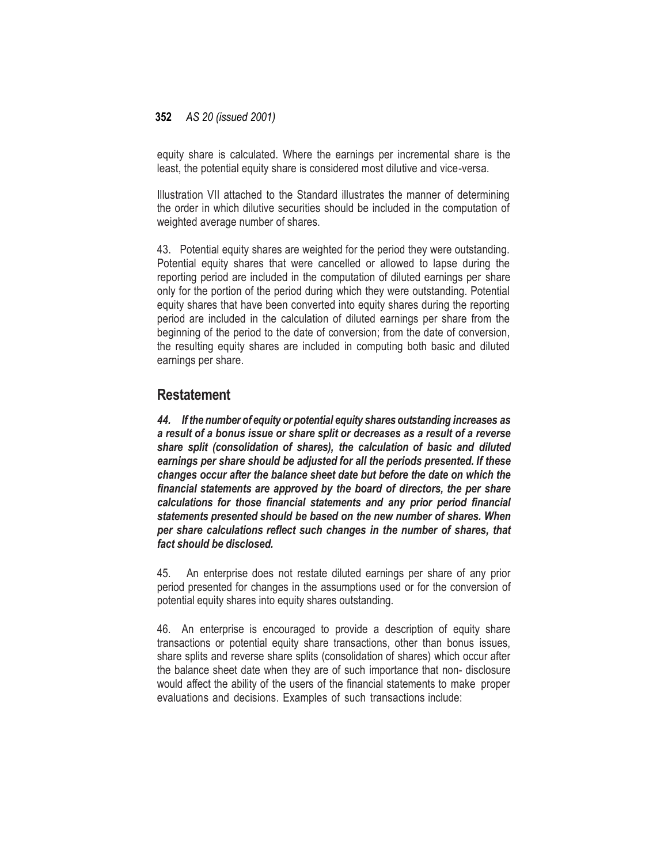equity share is calculated. Where the earnings per incremental share is the least, the potential equity share is considered most dilutive and vice-versa.

Illustration VII attached to the Standard illustrates the manner of determining the order in which dilutive securities should be included in the computation of weighted average number of shares.

43. Potential equity shares are weighted for the period they were outstanding. Potential equity shares that were cancelled or allowed to lapse during the reporting period are included in the computation of diluted earnings per share only for the portion of the period during which they were outstanding. Potential equity shares that have been converted into equity shares during the reporting period are included in the calculation of diluted earnings per share from the beginning of the period to the date of conversion; from the date of conversion, the resulting equity shares are included in computing both basic and diluted earnings per share.

## **Restatement**

*44. If the number of equity or potential equity shares outstanding increases as a result of a bonus issue or share split or decreases as a result of a reverse share split (consolidation of shares), the calculation of basic and diluted earnings per share should be adjusted for all the periods presented. If these changes occur after the balance sheet date but before the date on which the financial statements are approved by the board of directors, the per share calculations for those financial statements and any prior period financial statements presented should be based on the new number of shares. When per share calculations reflect such changes in the number of shares, that fact should be disclosed.*

45. An enterprise does not restate diluted earnings per share of any prior period presented for changes in the assumptions used or for the conversion of potential equity shares into equity shares outstanding.

46. An enterprise is encouraged to provide a description of equity share transactions or potential equity share transactions, other than bonus issues, share splits and reverse share splits (consolidation of shares) which occur after the balance sheet date when they are of such importance that non- disclosure would affect the ability of the users of the financial statements to make proper evaluations and decisions. Examples of such transactions include: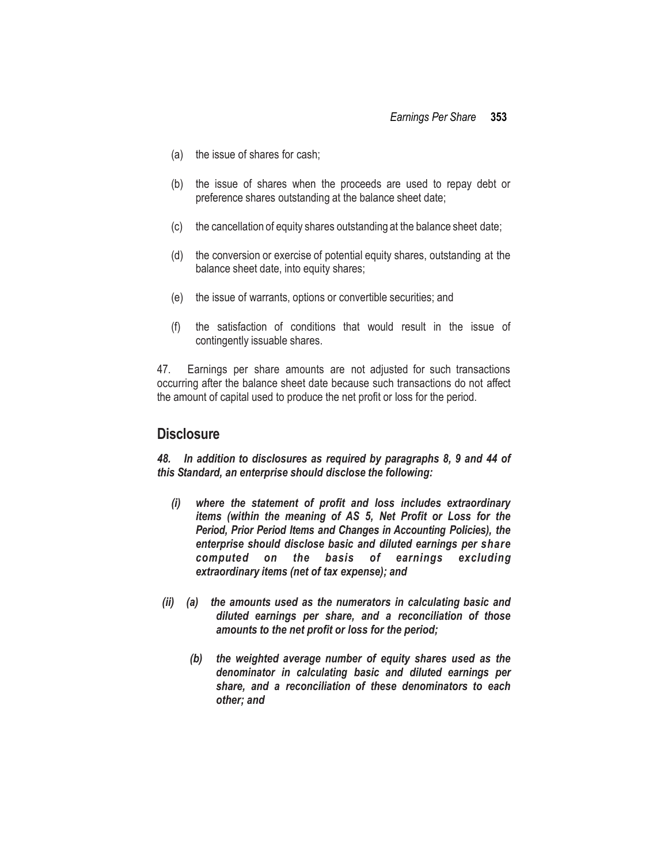- (a) the issue of shares for cash;
- (b) the issue of shares when the proceeds are used to repay debt or preference shares outstanding at the balance sheet date;
- (c) the cancellation of equity shares outstanding at the balance sheet date;
- (d) the conversion or exercise of potential equity shares, outstanding at the balance sheet date, into equity shares;
- (e) the issue of warrants, options or convertible securities; and
- (f) the satisfaction of conditions that would result in the issue of contingently issuable shares.

47. Earnings per share amounts are not adjusted for such transactions occurring after the balance sheet date because such transactions do not affect the amount of capital used to produce the net profit or loss for the period.

## **Disclosure**

*48. In addition to disclosures as required by paragraphs 8, 9 and 44 of this Standard, an enterprise should disclose the following:*

- *(i) where the statement of profit and loss includes extraordinary items (within the meaning of AS 5, Net Profit or Loss for the Period, Prior Period Items and Changes in Accounting Policies), the enterprise should disclose basic and diluted earnings per share computed on the basis of earnings excluding extraordinary items (net of tax expense); and*
- *(ii) (a) the amounts used as the numerators in calculating basic and diluted earnings per share, and a reconciliation of those amounts to the net profit or loss for the period;*
	- *(b) the weighted average number of equity shares used as the denominator in calculating basic and diluted earnings per share, and a reconciliation of these denominators to each other; and*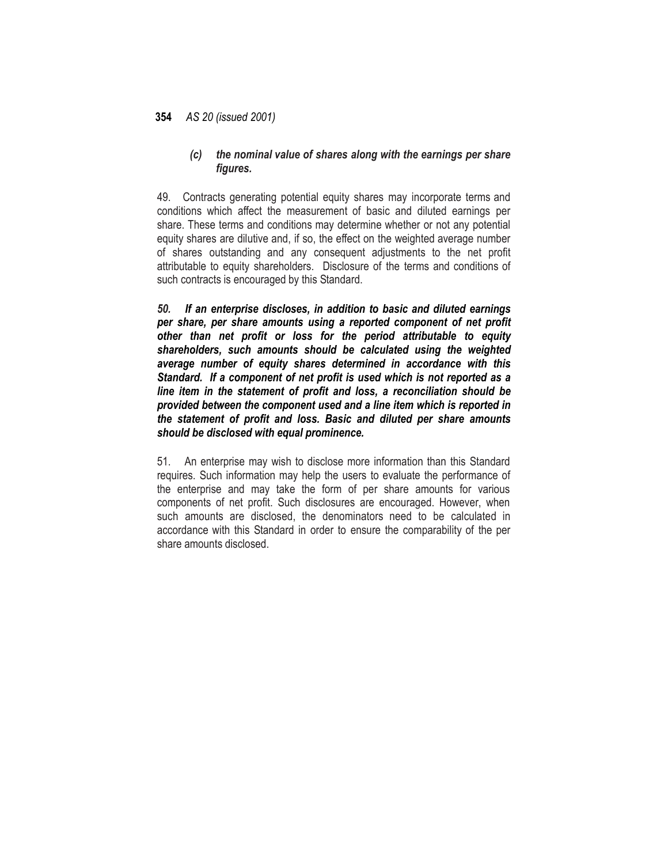#### *(c) the nominal value of shares along with the earnings per share figures.*

49. Contracts generating potential equity shares may incorporate terms and conditions which affect the measurement of basic and diluted earnings per share. These terms and conditions may determine whether or not any potential equity shares are dilutive and, if so, the effect on the weighted average number of shares outstanding and any consequent adjustments to the net profit attributable to equity shareholders. Disclosure of the terms and conditions of such contracts is encouraged by this Standard.

*50. If an enterprise discloses, in addition to basic and diluted earnings per share, per share amounts using a reported component of net profit other than net profit or loss for the period attributable to equity shareholders, such amounts should be calculated using the weighted average number of equity shares determined in accordance with this Standard. If a component of net profit is used which is not reported as a line item in the statement of profit and loss, a reconciliation should be provided between the component used and a line item which is reported in the statement of profit and loss. Basic and diluted per share amounts should be disclosed with equal prominence.*

51. An enterprise may wish to disclose more information than this Standard requires. Such information may help the users to evaluate the performance of the enterprise and may take the form of per share amounts for various components of net profit. Such disclosures are encouraged. However, when such amounts are disclosed, the denominators need to be calculated in accordance with this Standard in order to ensure the comparability of the per share amounts disclosed.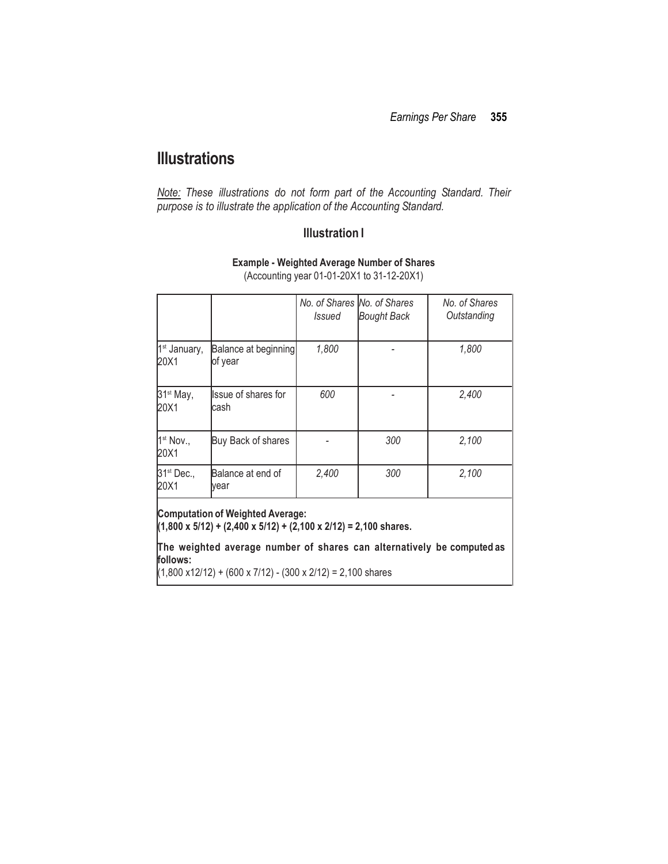# **Illustrations**

*Note: These illustrations do not form part of the Accounting Standard. Their purpose is to illustrate the application of the Accounting Standard.*

#### **Illustration I**

|                                  |                                 | No. of Shares No. of Shares<br><i>Issued</i> | <b>Bought Back</b> | No. of Shares<br>Outstanding |
|----------------------------------|---------------------------------|----------------------------------------------|--------------------|------------------------------|
| 1 <sup>st</sup> January,<br>20X1 | Balance at beginning<br>of year | 1,800                                        |                    | 1,800                        |
| 31 <sup>st</sup> May,<br>20X1    | Issue of shares for<br>lcash    | 600                                          |                    | 2,400                        |
| 1 <sup>st</sup> Nov.,<br>20X1    | Buy Back of shares              |                                              | 300                | 2,100                        |
| $31st$ Dec.,<br>20X1             | Balance at end of<br>vear       | 2,400                                        | 300                | 2,100                        |

**Example - Weighted Average Number of Shares** (Accounting year 01-01-20X1 to 31-12-20X1)

#### **Computation of Weighted Average:**

**(1,800 x 5/12) + (2,400 x 5/12) + (2,100 x 2/12) = 2,100 shares.**

**The weighted average number of shares can alternatively be computed as follows:**

 $(1,800 \times 12/12) + (600 \times 7/12) - (300 \times 2/12) = 2,100$  shares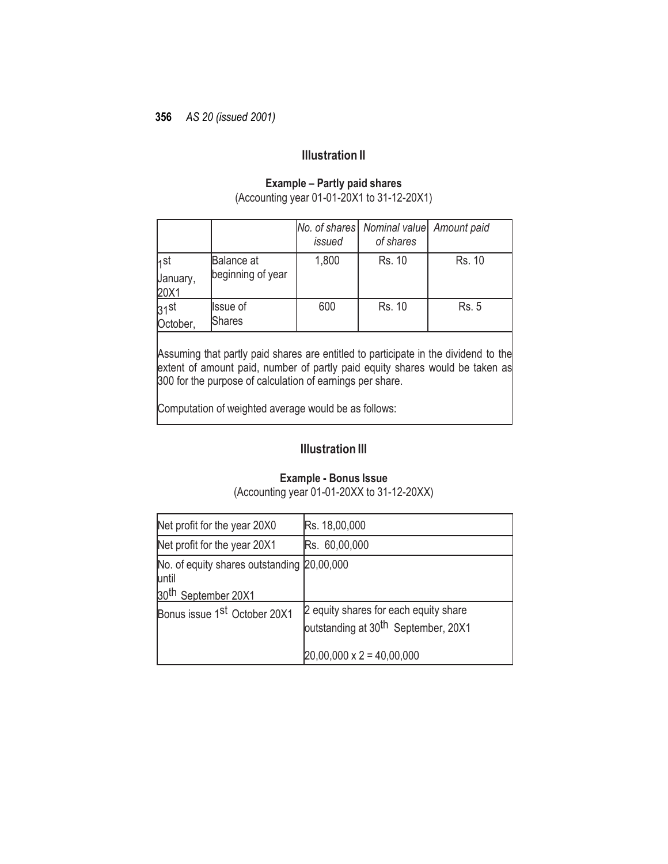## **Illustration II**

#### **Example – Partly paid shares**

(Accounting year 01-01-20X1 to 31-12-20X1)

|                                     |                                        | issued | No. of shares Nominal value Amount paid<br>of shares |              |
|-------------------------------------|----------------------------------------|--------|------------------------------------------------------|--------------|
| <sub>1</sub> st<br>January,<br>20X1 | <b>Balance</b> at<br>beginning of year | 1,800  | Rs. 10                                               | Rs. 10       |
| $31$ st<br>October,                 | <b>Issue of</b><br>Shares              | 600    | Rs. 10                                               | <b>Rs. 5</b> |

Assuming that partly paid shares are entitled to participate in the dividend to the extent of amount paid, number of partly paid equity shares would be taken as 300 for the purpose of calculation of earnings per share.

Computation of weighted average would be as follows:

### **Illustration III**

### **Example - Bonus Issue**

(Accounting year 01-01-20XX to 31-12-20XX)

| Net profit for the year 20X0                                                           | Rs. 18,00,000                                                                                                                |
|----------------------------------------------------------------------------------------|------------------------------------------------------------------------------------------------------------------------------|
| Net profit for the year 20X1                                                           | Rs. 60,00,000                                                                                                                |
| No. of equity shares outstanding 20,00,000<br>until<br>30 <sup>th</sup> September 20X1 |                                                                                                                              |
| Bonus issue 1 <sup>st</sup> October 20X1                                               | 2 equity shares for each equity share<br>outstanding at 30 <sup>th</sup> September, 20X1<br>$20,00,000 \times 2 = 40,00,000$ |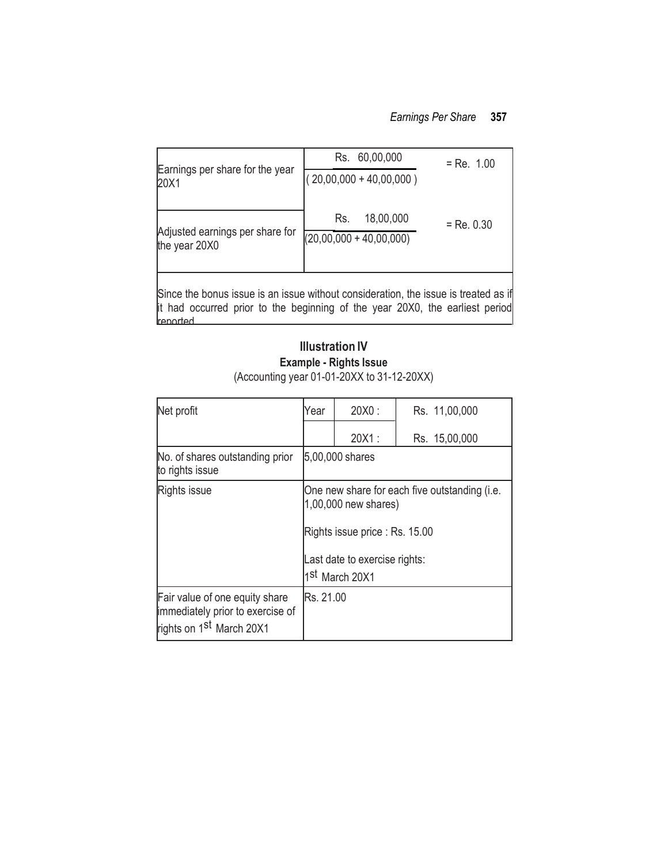|                                                                                                                                                                                 | Rs. 60,00,000                                 | $=$ Re. 1.00 |  |
|---------------------------------------------------------------------------------------------------------------------------------------------------------------------------------|-----------------------------------------------|--------------|--|
| Earnings per share for the year<br>20X1                                                                                                                                         | $(20,00,000 + 40,00,000)$                     |              |  |
| Adjusted earnings per share for<br>the year 20X0                                                                                                                                | 18,00,000<br>Rs.<br>$(20,00,000 + 40,00,000)$ | $=$ Re. 0.30 |  |
| Since the bonus issue is an issue without consideration, the issue is treated as if<br>it had occurred prior to the beginning of the year 20X0, the earliest period<br>renorted |                                               |              |  |

## **Illustration IV Example - Rights Issue** (Accounting year 01-01-20XX to 31-12-20XX)

| Net profit                                                                                                 | Year                                                                                                                                                                   | 20X0: | Rs. 11,00,000 |
|------------------------------------------------------------------------------------------------------------|------------------------------------------------------------------------------------------------------------------------------------------------------------------------|-------|---------------|
|                                                                                                            |                                                                                                                                                                        | 20X1: | Rs. 15,00,000 |
| No. of shares outstanding prior<br>to rights issue                                                         | 5,00,000 shares                                                                                                                                                        |       |               |
| <b>Rights issue</b>                                                                                        | One new share for each five outstanding (i.e.<br>1,00,000 new shares)<br>Rights issue price : Rs. 15.00<br>Last date to exercise rights:<br>1 <sup>st</sup> March 20X1 |       |               |
| Fair value of one equity share<br>immediately prior to exercise of<br>rights on 1 <sup>st</sup> March 20X1 | Rs. 21.00                                                                                                                                                              |       |               |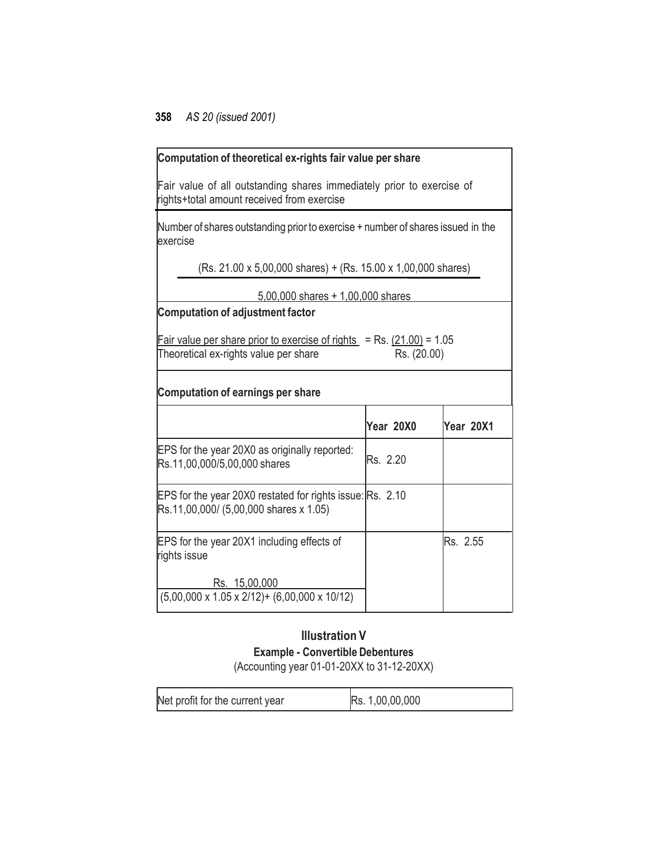| Computation of theoretical ex-rights fair value per share                                                                       |           |           |
|---------------------------------------------------------------------------------------------------------------------------------|-----------|-----------|
| Fair value of all outstanding shares immediately prior to exercise of<br>rights+total amount received from exercise             |           |           |
| Number of shares outstanding prior to exercise + number of shares issued in the<br>exercise                                     |           |           |
| (Rs. 21.00 x 5,00,000 shares) + (Rs. 15.00 x 1,00,000 shares)                                                                   |           |           |
| 5,00,000 shares + 1,00,000 shares                                                                                               |           |           |
| <b>Computation of adjustment factor</b>                                                                                         |           |           |
| Fair value per share prior to exercise of rights $=$ Rs. (21.00) = 1.05<br>Rs. (20.00)<br>Theoretical ex-rights value per share |           |           |
| <b>Computation of earnings per share</b>                                                                                        |           |           |
|                                                                                                                                 | Year 20X0 | Year 20X1 |
| EPS for the year 20X0 as originally reported:<br>Rs.11,00,000/5,00,000 shares                                                   | Rs. 2.20  |           |
| EPS for the year 20X0 restated for rights issue: Rs. 2.10<br>Rs.11,00,000/ (5,00,000 shares x 1.05)                             |           |           |
| EPS for the year 20X1 including effects of<br>rights issue                                                                      |           | Rs. 2.55  |
| Rs. 15,00,000<br>$(5,00,000 \times 1.05 \times 2/12)$ + $(6,00,000 \times 10/12)$                                               |           |           |

# **Illustration V Example - Convertible Debentures**

(Accounting year 01-01-20XX to 31-12-20XX)

| Net profit for the current year | Rs. 1,00,00,000 |
|---------------------------------|-----------------|
|---------------------------------|-----------------|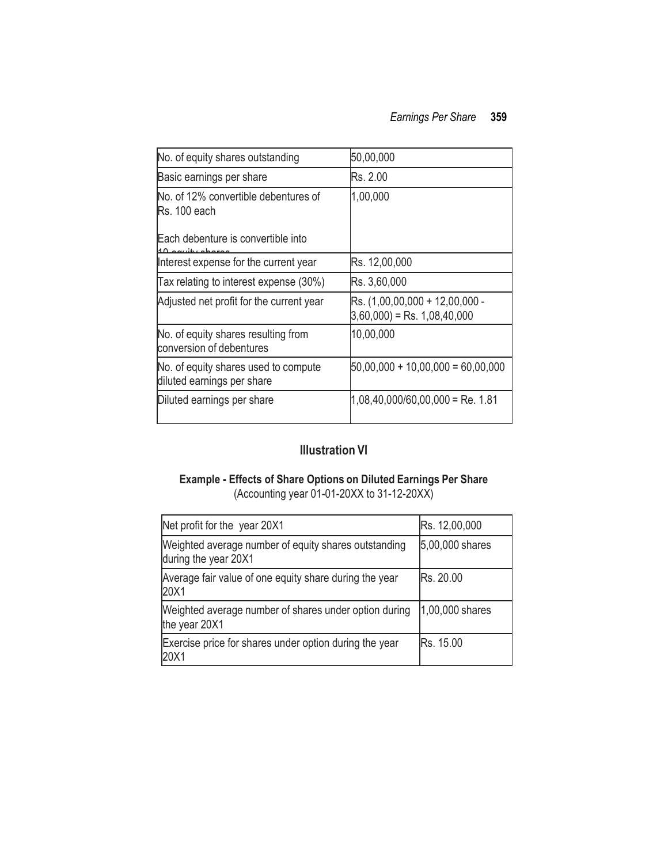| No. of equity shares outstanding                                   | 50,00,000                                                      |  |
|--------------------------------------------------------------------|----------------------------------------------------------------|--|
| Basic earnings per share                                           | <b>IRs. 2.00</b>                                               |  |
| <b>No. of 12% convertible debentures of</b><br>Rs. 100 each        | 1,00,000                                                       |  |
| Each debenture is convertible into<br>$10$ aguity aborac           |                                                                |  |
| Interest expense for the current year                              | Rs. 12,00,000                                                  |  |
| Tax relating to interest expense (30%)                             | Rs. 3,60,000                                                   |  |
| Adjusted net profit for the current year                           | Rs. (1,00,00,000 + 12,00,000 -<br>$3,60,000$ = Rs. 1,08,40,000 |  |
| No. of equity shares resulting from<br>conversion of debentures    | 10,00,000                                                      |  |
| No. of equity shares used to compute<br>diluted earnings per share | $50,00,000 + 10,00,000 = 60,00,000$                            |  |
| Diluted earnings per share                                         | $1,08,40,000/60,00,000 = Re. 1.81$                             |  |

## **Illustration VI**

#### **Example - Effects of Share Options on Diluted Earnings Per Share** (Accounting year 01-01-20XX to 31-12-20XX)

| Net profit for the year 20X1                                                 | Rs. 12,00,000   |
|------------------------------------------------------------------------------|-----------------|
| Weighted average number of equity shares outstanding<br>during the year 20X1 | 5,00,000 shares |
| Average fair value of one equity share during the year<br>20X1               | Rs. 20.00       |
| Weighted average number of shares under option during<br>the year 20X1       | 1,00,000 shares |
| Exercise price for shares under option during the year<br>20X1               | Rs. 15.00       |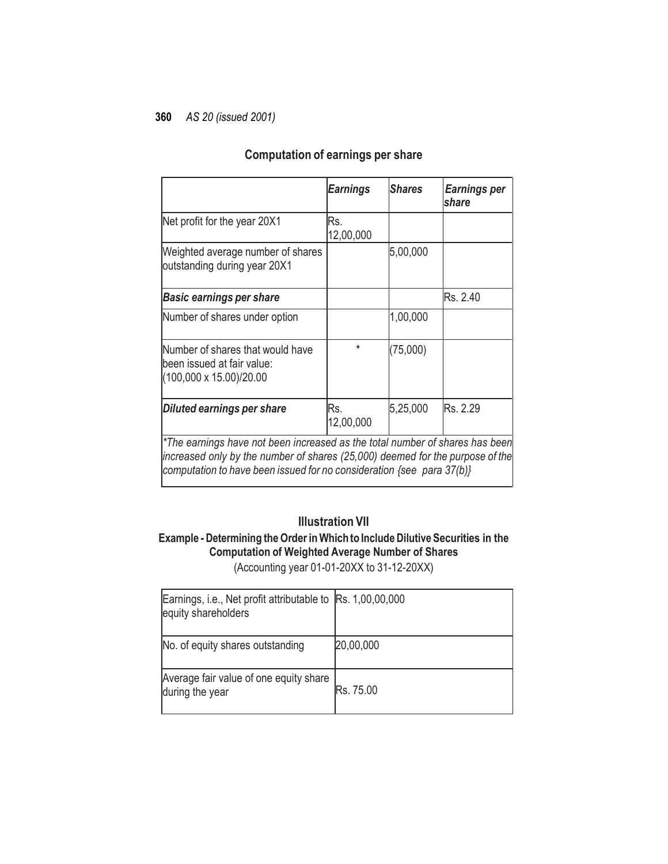|                                                                                                                                                                                                                                           | <b>Earnings</b>  | <b>Shares</b> | <b>Earnings per</b><br>share |
|-------------------------------------------------------------------------------------------------------------------------------------------------------------------------------------------------------------------------------------------|------------------|---------------|------------------------------|
| Net profit for the year 20X1                                                                                                                                                                                                              | Rs.<br>12,00,000 |               |                              |
| Weighted average number of shares<br>outstanding during year 20X1                                                                                                                                                                         |                  | 5,00,000      |                              |
| <b>Basic earnings per share</b>                                                                                                                                                                                                           |                  |               | Rs. 2.40                     |
| Number of shares under option                                                                                                                                                                                                             |                  | 1,00,000      |                              |
| Number of shares that would have<br>been issued at fair value:<br>(100,000 x 15.00)/20.00                                                                                                                                                 | $\star$          | (75,000)      |                              |
| Diluted earnings per share                                                                                                                                                                                                                | Rs.<br>12,00,000 | 5,25,000      | Rs. 2.29                     |
| *The earnings have not been increased as the total number of shares has been<br>increased only by the number of shares (25,000) deemed for the purpose of the<br>computation to have been issued for no consideration {see para $37(b)$ } |                  |               |                              |

## **Computation of earnings per share**

## **Illustration VII**

# **Example - Determining theOrderinWhichto Include Dilutive Securities in the Computation of Weighted Average Number of Shares**

(Accounting year 01-01-20XX to 31-12-20XX)

| Earnings, i.e., Net profit attributable to Rs. 1,00,00,000<br>equity shareholders |           |
|-----------------------------------------------------------------------------------|-----------|
| No. of equity shares outstanding                                                  | 20,00,000 |
| Average fair value of one equity share<br>during the year                         | Rs. 75.00 |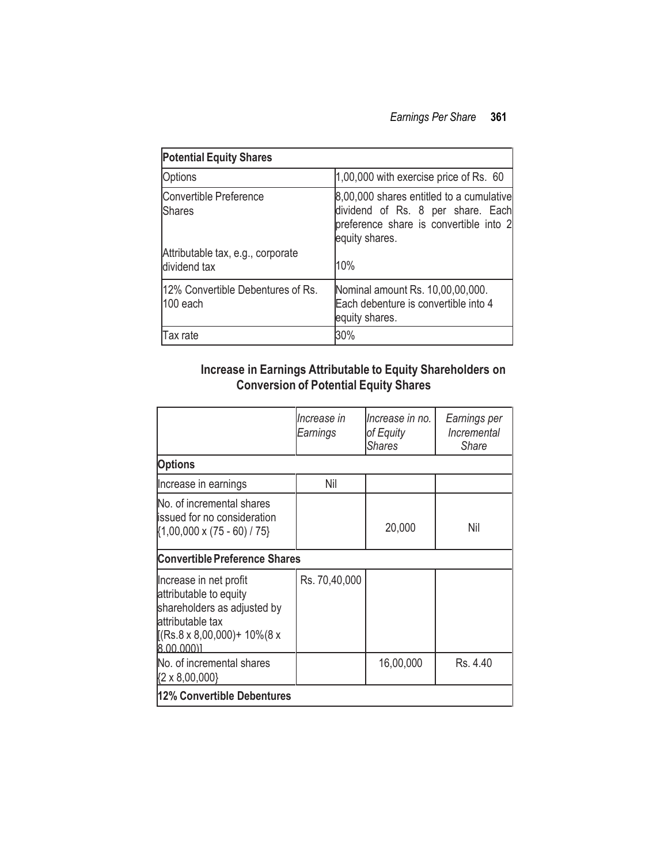| <b>Potential Equity Shares</b>                    |                                                                                                                                           |
|---------------------------------------------------|-------------------------------------------------------------------------------------------------------------------------------------------|
| Options                                           | 1,00,000 with exercise price of Rs. 60                                                                                                    |
| <b>Convertible Preference</b><br>Shares           | 8,00,000 shares entitled to a cumulative<br>dividend of Rs. 8 per share. Each<br>preference share is convertible into 2<br>equity shares. |
| Attributable tax, e.g., corporate<br>dividend tax | 10%                                                                                                                                       |
| 12% Convertible Debentures of Rs.<br>l100 each    | Nominal amount Rs. 10,00,00,000.<br>Each debenture is convertible into 4<br>equity shares.                                                |
| Tax rate                                          | 30%                                                                                                                                       |

## **Increase in Earnings Attributable to Equity Shareholders on Conversion of Potential Equity Shares**

|                                                                                                                                                | Increase in<br>Earnings | Increase in no.<br>of Equity<br><b>Shares</b> | Earnings per<br>Incremental<br><b>Share</b> |  |  |  |
|------------------------------------------------------------------------------------------------------------------------------------------------|-------------------------|-----------------------------------------------|---------------------------------------------|--|--|--|
| <b>Options</b>                                                                                                                                 |                         |                                               |                                             |  |  |  |
| Increase in earnings                                                                                                                           | Nil                     |                                               |                                             |  |  |  |
| No. of incremental shares<br>issued for no consideration<br>$(1,00,000 \times (75 - 60) / 75)$                                                 |                         | 20,000                                        | Nil                                         |  |  |  |
| <b>Convertible Preference Shares</b>                                                                                                           |                         |                                               |                                             |  |  |  |
| Increase in net profit<br>attributable to equity<br>shareholders as adjusted by<br>attributable tax<br>$[(Rs.8 \times 8,00,000)+10\%(8 \times$ | Rs. 70,40,000           |                                               |                                             |  |  |  |
| No. of incremental shares<br>${2 \times 8,00,000}$                                                                                             |                         | 16,00,000                                     | Rs. 4.40                                    |  |  |  |
| 12% Convertible Debentures                                                                                                                     |                         |                                               |                                             |  |  |  |